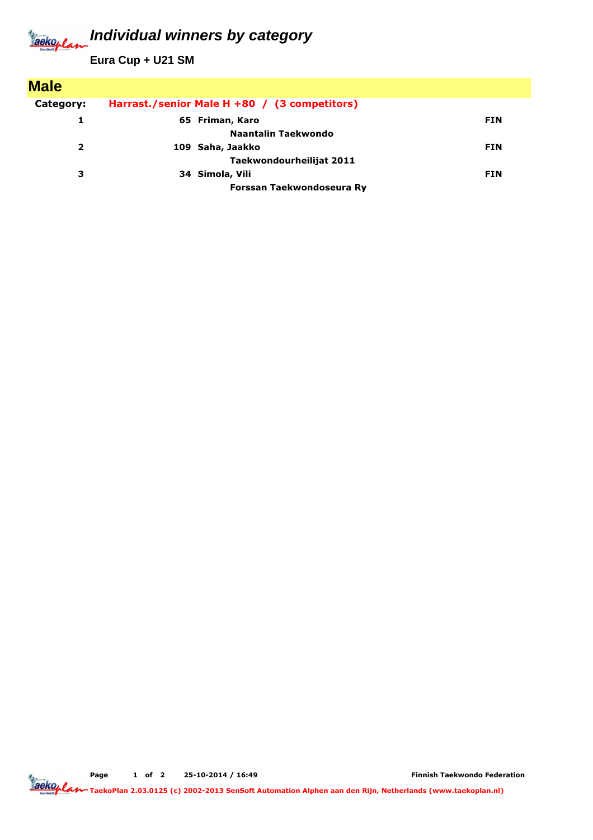## **Individual winners by category** Jackoplan

**Eura Cup + U21 SM**

| <b>Male</b> |                                              |            |
|-------------|----------------------------------------------|------------|
| Category:   | Harrast./senior Male H +80 / (3 competitors) |            |
|             | 65 Friman, Karo                              | <b>FIN</b> |
|             | Naantalin Taekwondo                          |            |
| 2           | 109 Saha, Jaakko                             | <b>FIN</b> |
|             | Taekwondourheilijat 2011                     |            |
| з           | 34 Simola, Vili                              | <b>FIN</b> |
|             | Forssan Taekwondoseura Ry                    |            |

Page 1 of 2 25-10-2014 / 16:49

Finnish Taekwondo Federation

TaekoPlan 2.03.0125 (c) 2002-2013 SenSoft Automation Alphen aan den Rijn, Netherlands (www.taekoplan.nl)